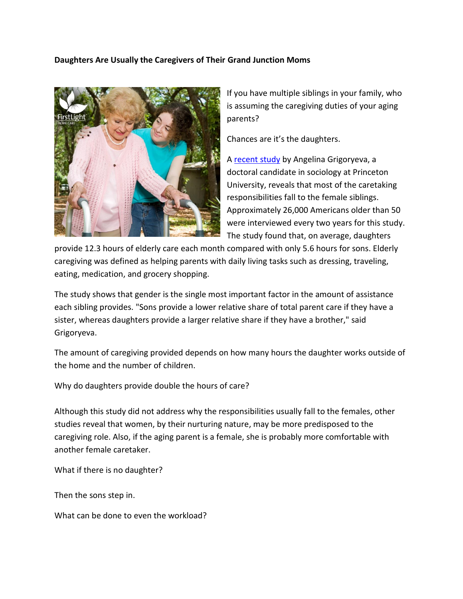## **Daughters Are Usually the Caregivers of Their Grand Junction Moms**



If you have multiple siblings in your family, who is assuming the caregiving duties of your aging parents?

Chances are it's the daughters.

[A recent study](http://www.usatoday.com/story/news/nation/2014/08/19/elderly-care-caregiving-women/14254647/) by Angelina Grigoryeva, a doctoral candidate in sociology at Princeton University, reveals that most of the caretaking responsibilities fall to the female siblings. Approximately 26,000 Americans older than 50 were interviewed every two years for this study. The study found that, on average, daughters

provide 12.3 hours of elderly care each month compared with only 5.6 hours for sons. Elderly caregiving was defined as helping parents with daily living tasks such as dressing, traveling, eating, medication, and grocery shopping.

The study shows that gender is the single most important factor in the amount of assistance each sibling provides. "Sons provide a lower relative share of total parent care if they have a sister, whereas daughters provide a larger relative share if they have a brother," said Grigoryeva.

The amount of caregiving provided depends on how many hours the daughter works outside of the home and the number of children.

Why do daughters provide double the hours of care?

Although this study did not address why the responsibilities usually fall to the females, other studies reveal that women, by their nurturing nature, may be more predisposed to the caregiving role. Also, if the aging parent is a female, she is probably more comfortable with another female caretaker.

What if there is no daughter?

Then the sons step in.

What can be done to even the workload?